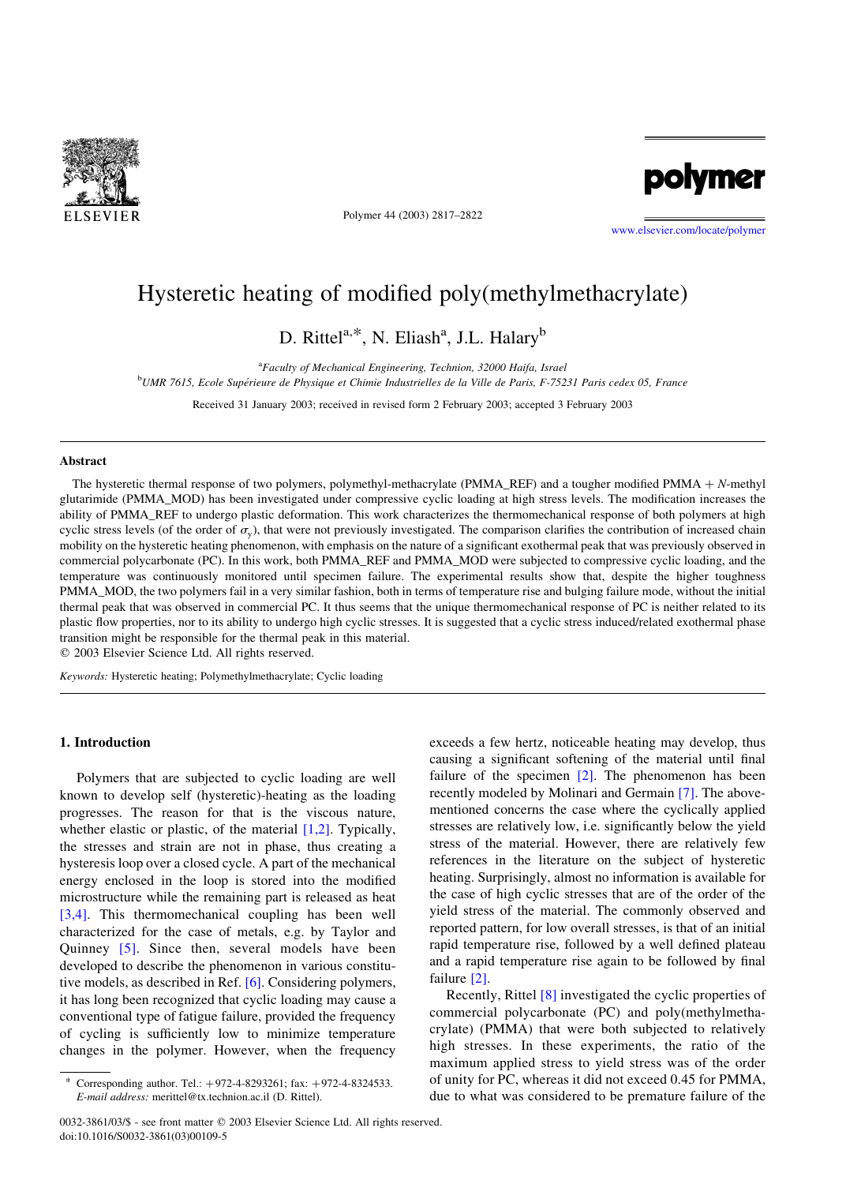

Polymer 44 (2003) 2817–2822



[www.elsevier.com/locate/polymer](http://www.elsevier.com/locate/polymer)

# Hysteretic heating of modified poly(methylmethacrylate)

D. Rittel<sup>a,\*</sup>, N. Eliash<sup>a</sup>, J.L. Halary<sup>b</sup>

<sup>a</sup>Faculty of Mechanical Engineering, Technion, 32000 Haifa, Israel

<sup>b</sup>UMR 7615, Ecole Supérieure de Physique et Chimie Industrielles de la Ville de Paris, F-75231 Paris cedex 05, France

Received 31 January 2003; received in revised form 2 February 2003; accepted 3 February 2003

## Abstract

The hysteretic thermal response of two polymers, polymethyl-methacrylate (PMMA\_REF) and a tougher modified PMMA  $+ N$ -methyl glutarimide (PMMA\_MOD) has been investigated under compressive cyclic loading at high stress levels. The modification increases the ability of PMMA\_REF to undergo plastic deformation. This work characterizes the thermomechanical response of both polymers at high cyclic stress levels (of the order of  $\sigma_{v}$ ), that were not previously investigated. The comparison clarifies the contribution of increased chain mobility on the hysteretic heating phenomenon, with emphasis on the nature of a significant exothermal peak that was previously observed in commercial polycarbonate (PC). In this work, both PMMA\_REF and PMMA\_MOD were subjected to compressive cyclic loading, and the temperature was continuously monitored until specimen failure. The experimental results show that, despite the higher toughness PMMA\_MOD, the two polymers fail in a very similar fashion, both in terms of temperature rise and bulging failure mode, without the initial thermal peak that was observed in commercial PC. It thus seems that the unique thermomechanical response of PC is neither related to its plastic flow properties, nor to its ability to undergo high cyclic stresses. It is suggested that a cyclic stress induced/related exothermal phase transition might be responsible for the thermal peak in this material.

 $©$  2003 Elsevier Science Ltd. All rights reserved.

Keywords: Hysteretic heating; Polymethylmethacrylate; Cyclic loading

## 1. Introduction

Polymers that are subjected to cyclic loading are well known to develop self (hysteretic)-heating as the loading progresses. The reason for that is the viscous nature, whether elastic or plastic, of the material  $[1,2]$ . Typically, the stresses and strain are not in phase, thus creating a hysteresis loop over a closed cycle. A part of the mechanical energy enclosed in the loop is stored into the modified microstructure while the remaining part is released as heat [\[3,4\].](#page-5-0) This thermomechanical coupling has been well characterized for the case of metals, e.g. by Taylor and Quinney [\[5\]](#page-5-0). Since then, several models have been developed to describe the phenomenon in various constitutive models, as described in Ref. [\[6\].](#page-5-0) Considering polymers, it has long been recognized that cyclic loading may cause a conventional type of fatigue failure, provided the frequency of cycling is sufficiently low to minimize temperature changes in the polymer. However, when the frequency

exceeds a few hertz, noticeable heating may develop, thus causing a significant softening of the material until final failure of the specimen  $[2]$ . The phenomenon has been recently modeled by Molinari and Germain [\[7\]](#page-5-0). The abovementioned concerns the case where the cyclically applied stresses are relatively low, i.e. significantly below the yield stress of the material. However, there are relatively few references in the literature on the subject of hysteretic heating. Surprisingly, almost no information is available for the case of high cyclic stresses that are of the order of the yield stress of the material. The commonly observed and reported pattern, for low overall stresses, is that of an initial rapid temperature rise, followed by a well defined plateau and a rapid temperature rise again to be followed by final failure [\[2\]](#page-5-0).

Recently, Rittel [\[8\]](#page-5-0) investigated the cyclic properties of commercial polycarbonate (PC) and poly(methylmethacrylate) (PMMA) that were both subjected to relatively high stresses. In these experiments, the ratio of the maximum applied stress to yield stress was of the order of unity for PC, whereas it did not exceed 0.45 for PMMA, due to what was considered to be premature failure of the

Corresponding author. Tel.:  $+972-4-8293261$ ; fax:  $+972-4-8324533$ . E-mail address: merittel@tx.technion.ac.il (D. Rittel).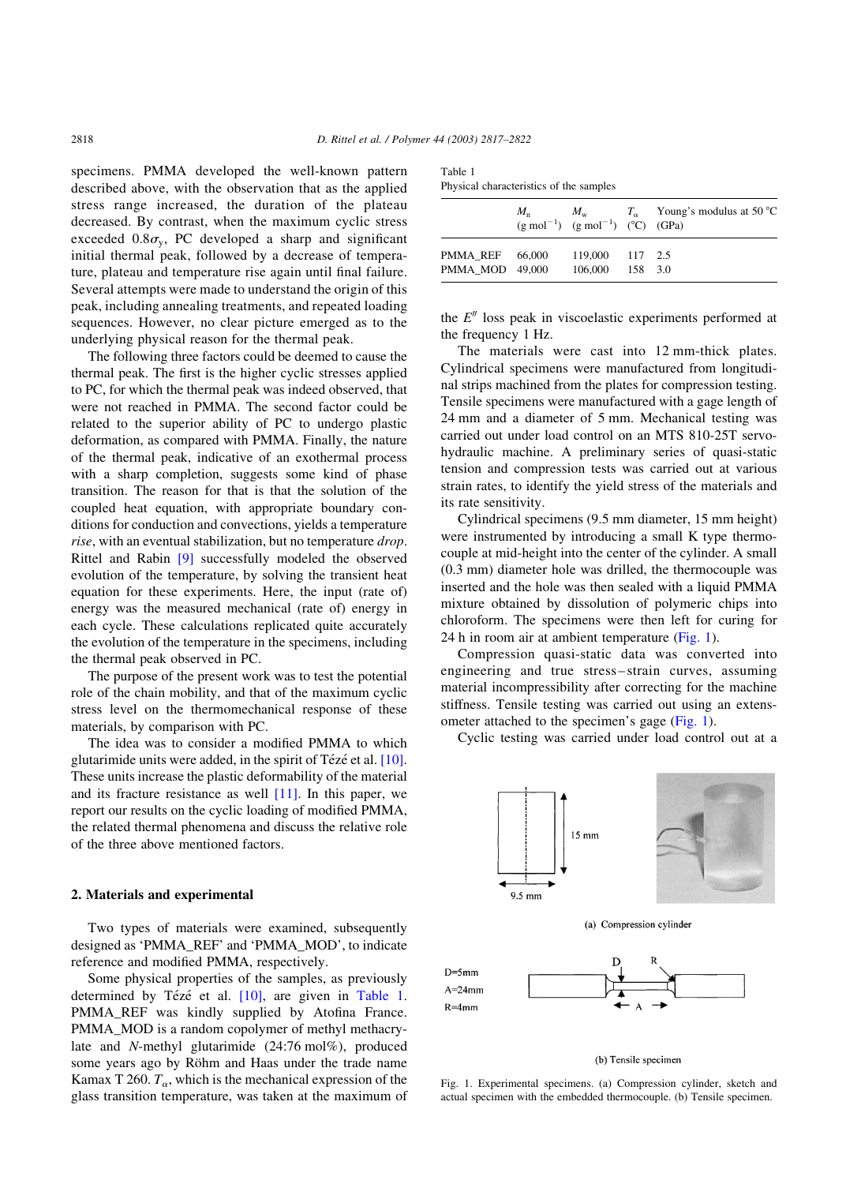<span id="page-1-0"></span>specimens. PMMA developed the well-known pattern described above, with the observation that as the applied stress range increased, the duration of the plateau decreased. By contrast, when the maximum cyclic stress exceeded  $0.8\sigma_v$ , PC developed a sharp and significant initial thermal peak, followed by a decrease of temperature, plateau and temperature rise again until final failure. Several attempts were made to understand the origin of this peak, including annealing treatments, and repeated loading sequences. However, no clear picture emerged as to the underlying physical reason for the thermal peak.

The following three factors could be deemed to cause the thermal peak. The first is the higher cyclic stresses applied to PC, for which the thermal peak was indeed observed, that were not reached in PMMA. The second factor could be related to the superior ability of PC to undergo plastic deformation, as compared with PMMA. Finally, the nature of the thermal peak, indicative of an exothermal process with a sharp completion, suggests some kind of phase transition. The reason for that is that the solution of the coupled heat equation, with appropriate boundary conditions for conduction and convections, yields a temperature rise, with an eventual stabilization, but no temperature drop. Rittel and Rabin [\[9\]](#page-5-0) successfully modeled the observed evolution of the temperature, by solving the transient heat equation for these experiments. Here, the input (rate of) energy was the measured mechanical (rate of) energy in each cycle. These calculations replicated quite accurately the evolution of the temperature in the specimens, including the thermal peak observed in PC.

The purpose of the present work was to test the potential role of the chain mobility, and that of the maximum cyclic stress level on the thermomechanical response of these materials, by comparison with PC.

The idea was to consider a modified PMMA to which glutarimide units were added, in the spirit of Tézé et al.  $[10]$ . These units increase the plastic deformability of the material and its fracture resistance as well [\[11\].](#page-5-0) In this paper, we report our results on the cyclic loading of modified PMMA, the related thermal phenomena and discuss the relative role of the three above mentioned factors.

## 2. Materials and experimental

Two types of materials were examined, subsequently designed as 'PMMA\_REF' and 'PMMA\_MOD', to indicate reference and modified PMMA, respectively.

Some physical properties of the samples, as previously determined by Tézé et al. [\[10\],](#page-5-0) are given in Table 1. PMMA\_REF was kindly supplied by Atofina France. PMMA\_MOD is a random copolymer of methyl methacrylate and N-methyl glutarimide (24:76 mol%), produced some years ago by Röhm and Haas under the trade name Kamax T 260.  $T_{\alpha}$ , which is the mechanical expression of the glass transition temperature, was taken at the maximum of

| Table 1 |                                         |  |
|---------|-----------------------------------------|--|
|         | Physical characteristics of the samples |  |

|                                                  |  | $(g \text{ mol}^{-1})$ $(g \text{ mol}^{-1})$ $(^{\circ}C)$ $(GPa)$ |  | $M_{\rm n}$ $M_{\rm w}$ $T_{\alpha}$ Young's modulus at 50 °C |  |  |
|--------------------------------------------------|--|---------------------------------------------------------------------|--|---------------------------------------------------------------|--|--|
| <b>PMMA REF</b> 66,000<br><b>PMMA MOD 49,000</b> |  | 119,000 117 2.5<br>106,000 158 3.0                                  |  |                                                               |  |  |

the  $E''$  loss peak in viscoelastic experiments performed at the frequency 1 Hz.

The materials were cast into 12 mm-thick plates. Cylindrical specimens were manufactured from longitudinal strips machined from the plates for compression testing. Tensile specimens were manufactured with a gage length of 24 mm and a diameter of 5 mm. Mechanical testing was carried out under load control on an MTS 810-25T servohydraulic machine. A preliminary series of quasi-static tension and compression tests was carried out at various strain rates, to identify the yield stress of the materials and its rate sensitivity.

Cylindrical specimens (9.5 mm diameter, 15 mm height) were instrumented by introducing a small K type thermocouple at mid-height into the center of the cylinder. A small (0.3 mm) diameter hole was drilled, the thermocouple was inserted and the hole was then sealed with a liquid PMMA mixture obtained by dissolution of polymeric chips into chloroform. The specimens were then left for curing for 24 h in room air at ambient temperature (Fig. 1).

Compression quasi-static data was converted into engineering and true stress–strain curves, assuming material incompressibility after correcting for the machine stiffness. Tensile testing was carried out using an extensometer attached to the specimen's gage (Fig. 1).

Cyclic testing was carried under load control out at a



### (b) Tensile specimen

Fig. 1. Experimental specimens. (a) Compression cylinder, sketch and actual specimen with the embedded thermocouple. (b) Tensile specimen.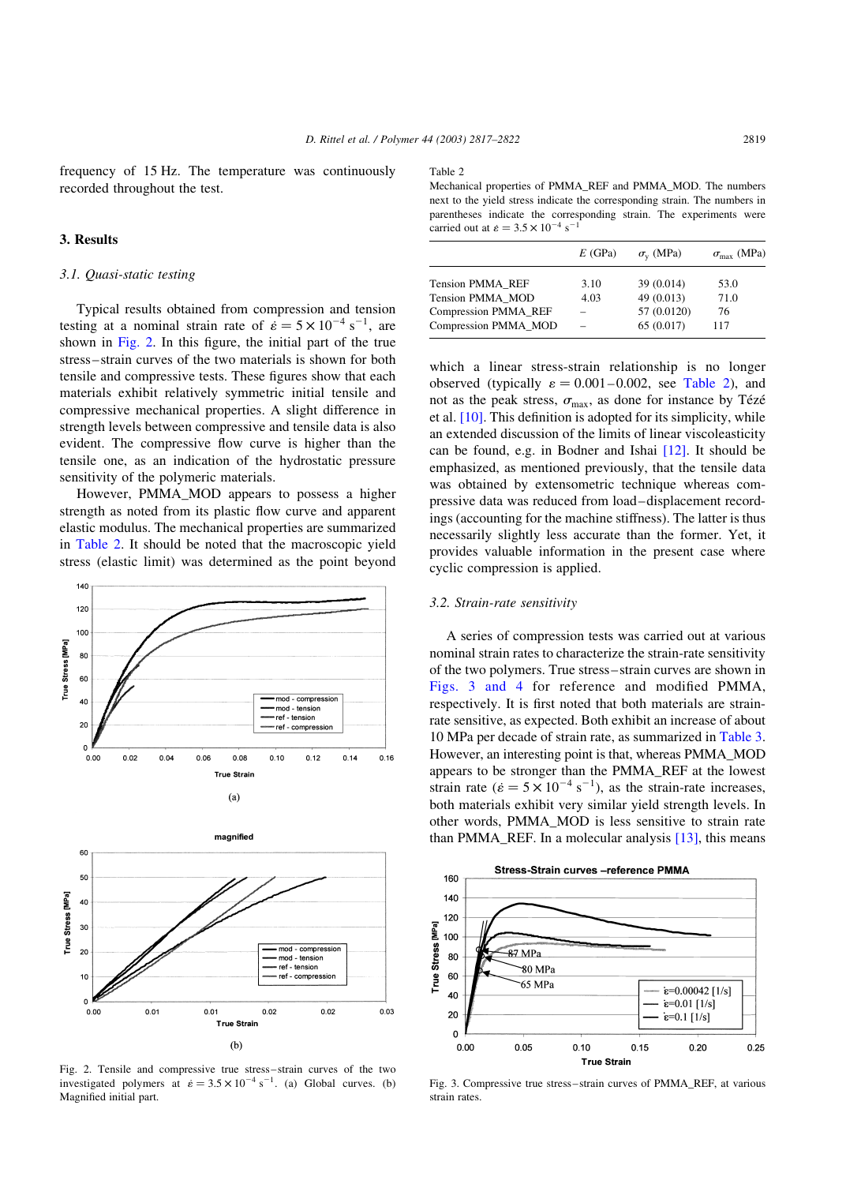frequency of 15 Hz. The temperature was continuously recorded throughout the test.

## 3. Results

## 3.1. Quasi-static testing

Typical results obtained from compression and tension testing at a nominal strain rate of  $\dot{\epsilon} = 5 \times 10^{-4} \text{ s}^{-1}$ , are shown in Fig. 2. In this figure, the initial part of the true stress–strain curves of the two materials is shown for both tensile and compressive tests. These figures show that each materials exhibit relatively symmetric initial tensile and compressive mechanical properties. A slight difference in strength levels between compressive and tensile data is also evident. The compressive flow curve is higher than the tensile one, as an indication of the hydrostatic pressure sensitivity of the polymeric materials.

However, PMMA\_MOD appears to possess a higher strength as noted from its plastic flow curve and apparent elastic modulus. The mechanical properties are summarized in Table 2. It should be noted that the macroscopic yield stress (elastic limit) was determined as the point beyond





Fig. 2. Tensile and compressive true stress–strain curves of the two investigated polymers at  $\dot{\epsilon} = 3.5 \times 10^{-4} \text{ s}^{-1}$ . (a) Global curves. (b) Magnified initial part.

#### Table 2

Mechanical properties of PMMA\_REF and PMMA\_MOD. The numbers next to the yield stress indicate the corresponding strain. The numbers in parentheses indicate the corresponding strain. The experiments were carried out at  $\dot{\epsilon} = 3.5 \times 10^{-4} \text{ s}^{-1}$ 

|                             | E(GPa) | $\sigma_{v}$ (MPa) | $\sigma_{\text{max}}$ (MPa) |
|-----------------------------|--------|--------------------|-----------------------------|
| Tension PMMA REF            | 3.10   | 39 (0.014)         | 53.0                        |
| Tension PMMA MOD            | 4.03   | 49(0.013)          | 71.0                        |
| <b>Compression PMMA_REF</b> |        | 57 (0.0120)        | 76                          |
| Compression PMMA MOD        |        | 65 (0.017)         | 117                         |
|                             |        |                    |                             |

which a linear stress-strain relationship is no longer observed (typically  $\varepsilon = 0.001-0.002$ , see Table 2), and not as the peak stress,  $\sigma_{\text{max}}$ , as done for instance by Tézé et al.  $[10]$ . This definition is adopted for its simplicity, while an extended discussion of the limits of linear viscoleasticity can be found, e.g. in Bodner and Ishai [\[12\]](#page-5-0). It should be emphasized, as mentioned previously, that the tensile data was obtained by extensometric technique whereas compressive data was reduced from load–displacement recordings (accounting for the machine stiffness). The latter is thus necessarily slightly less accurate than the former. Yet, it provides valuable information in the present case where cyclic compression is applied.

## 3.2. Strain-rate sensitivity

A series of compression tests was carried out at various nominal strain rates to characterize the strain-rate sensitivity of the two polymers. True stress–strain curves are shown in Figs. 3 and 4 for reference and modified PMMA, respectively. It is first noted that both materials are strainrate sensitive, as expected. Both exhibit an increase of about 10 MPa per decade of strain rate, as summarized in [Table 3](#page-3-0). However, an interesting point is that, whereas PMMA\_MOD appears to be stronger than the PMMA\_REF at the lowest strain rate ( $\dot{\epsilon} = 5 \times 10^{-4} \text{ s}^{-1}$ ), as the strain-rate increases, both materials exhibit very similar yield strength levels. In other words, PMMA\_MOD is less sensitive to strain rate than PMMA\_REF. In a molecular analysis [\[13\],](#page-5-0) this means



Fig. 3. Compressive true stress–strain curves of PMMA\_REF, at various strain rates.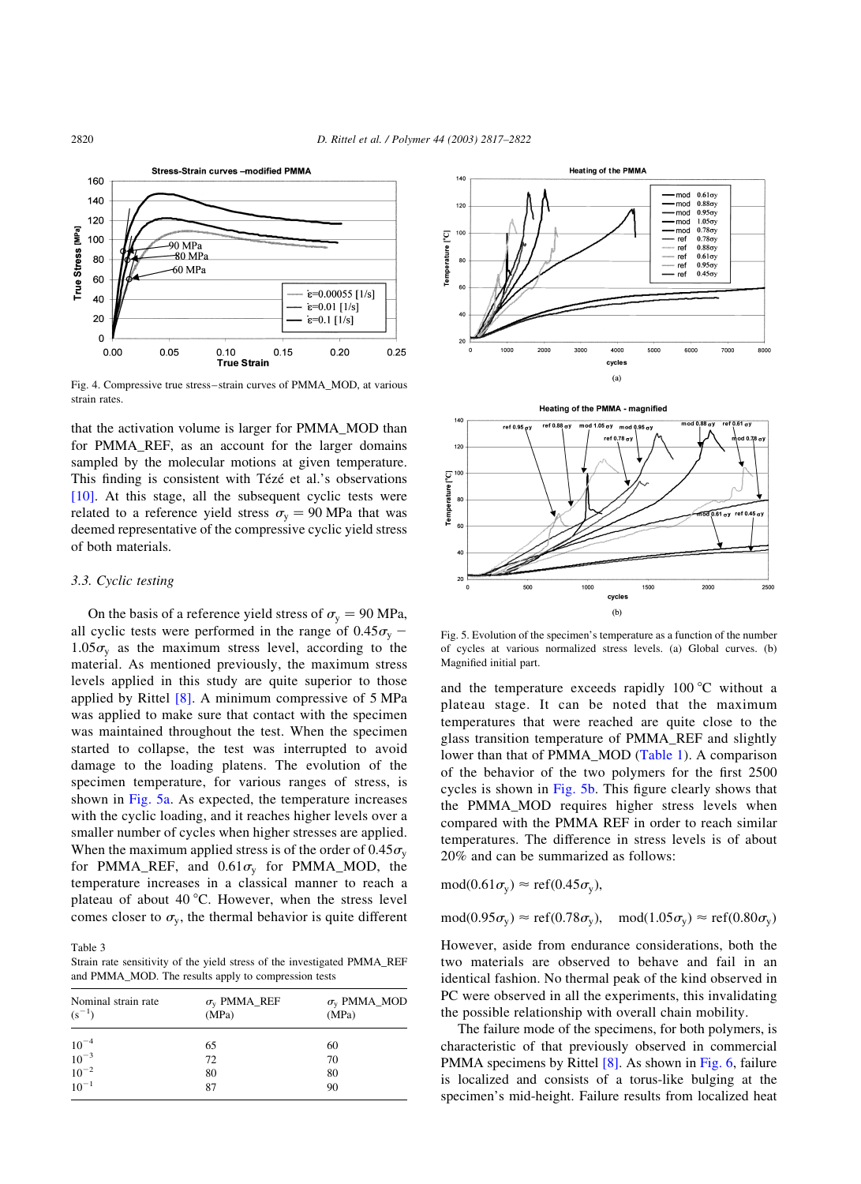

Fig. 4. Compressive true stress–strain curves of PMMA\_MOD, at various strain rates.

that the activation volume is larger for PMMA\_MOD than for PMMA\_REF, as an account for the larger domains sampled by the molecular motions at given temperature. This finding is consistent with Tézé et al.'s observations [\[10\]](#page-5-0). At this stage, all the subsequent cyclic tests were related to a reference yield stress  $\sigma_{v} = 90 \text{ MPa}$  that was deemed representative of the compressive cyclic yield stress of both materials.

# 3.3. Cyclic testing

On the basis of a reference yield stress of  $\sigma_{\rm v} = 90$  MPa, all cyclic tests were performed in the range of  $0.45\sigma_{v}$  –  $1.05\sigma_{v}$  as the maximum stress level, according to the material. As mentioned previously, the maximum stress levels applied in this study are quite superior to those applied by Rittel [\[8\]](#page-5-0). A minimum compressive of 5 MPa was applied to make sure that contact with the specimen was maintained throughout the test. When the specimen started to collapse, the test was interrupted to avoid damage to the loading platens. The evolution of the specimen temperature, for various ranges of stress, is shown in Fig. 5a. As expected, the temperature increases with the cyclic loading, and it reaches higher levels over a smaller number of cycles when higher stresses are applied. When the maximum applied stress is of the order of  $0.45\sigma_{v}$ for PMMA\_REF, and  $0.61\sigma_{v}$  for PMMA\_MOD, the temperature increases in a classical manner to reach a plateau of about  $40^{\circ}$ C. However, when the stress level comes closer to  $\sigma_{v}$ , the thermal behavior is quite different

Table 3

Strain rate sensitivity of the yield stress of the investigated PMMA\_REF and PMMA\_MOD. The results apply to compression tests

| Nominal strain rate<br>$(s^{-1})$                                         | $\sigma_{\rm v}$ PMMA_REF<br>(MPa) | $\sigma$ <sub>v</sub> PMMA_MOD<br>(MPa) |
|---------------------------------------------------------------------------|------------------------------------|-----------------------------------------|
|                                                                           | 65                                 | 60                                      |
| $\begin{array}{c}\n10^{-4} \\ 10^{-3} \\ 10^{-2} \\ 10^{-1}\n\end{array}$ | 72                                 | 70                                      |
|                                                                           | 80                                 | 80                                      |
|                                                                           | 87                                 | 90                                      |





Fig. 5. Evolution of the specimen's temperature as a function of the number of cycles at various normalized stress levels. (a) Global curves. (b) Magnified initial part.

and the temperature exceeds rapidly  $100^{\circ}$ C without a plateau stage. It can be noted that the maximum temperatures that were reached are quite close to the glass transition temperature of PMMA\_REF and slightly lower than that of PMMA\_MOD [\(Table 1](#page-1-0)). A comparison of the behavior of the two polymers for the first 2500 cycles is shown in Fig. 5b. This figure clearly shows that the PMMA\_MOD requires higher stress levels when compared with the PMMA REF in order to reach similar temperatures. The difference in stress levels is of about 20% and can be summarized as follows:

$$
\text{mod}(0.61\sigma_{y}) \approx \text{ref}(0.45\sigma_{y}),
$$

 $mod(0.95\sigma_v) \approx ref(0.78\sigma_v)$ ,  $mod(1.05\sigma_v) \approx ref(0.80\sigma_v)$ 

However, aside from endurance considerations, both the two materials are observed to behave and fail in an identical fashion. No thermal peak of the kind observed in PC were observed in all the experiments, this invalidating the possible relationship with overall chain mobility.

The failure mode of the specimens, for both polymers, is characteristic of that previously observed in commercial PMMA specimens by Rittel [\[8\]](#page-5-0). As shown in [Fig. 6](#page-4-0), failure is localized and consists of a torus-like bulging at the specimen's mid-height. Failure results from localized heat

<span id="page-3-0"></span>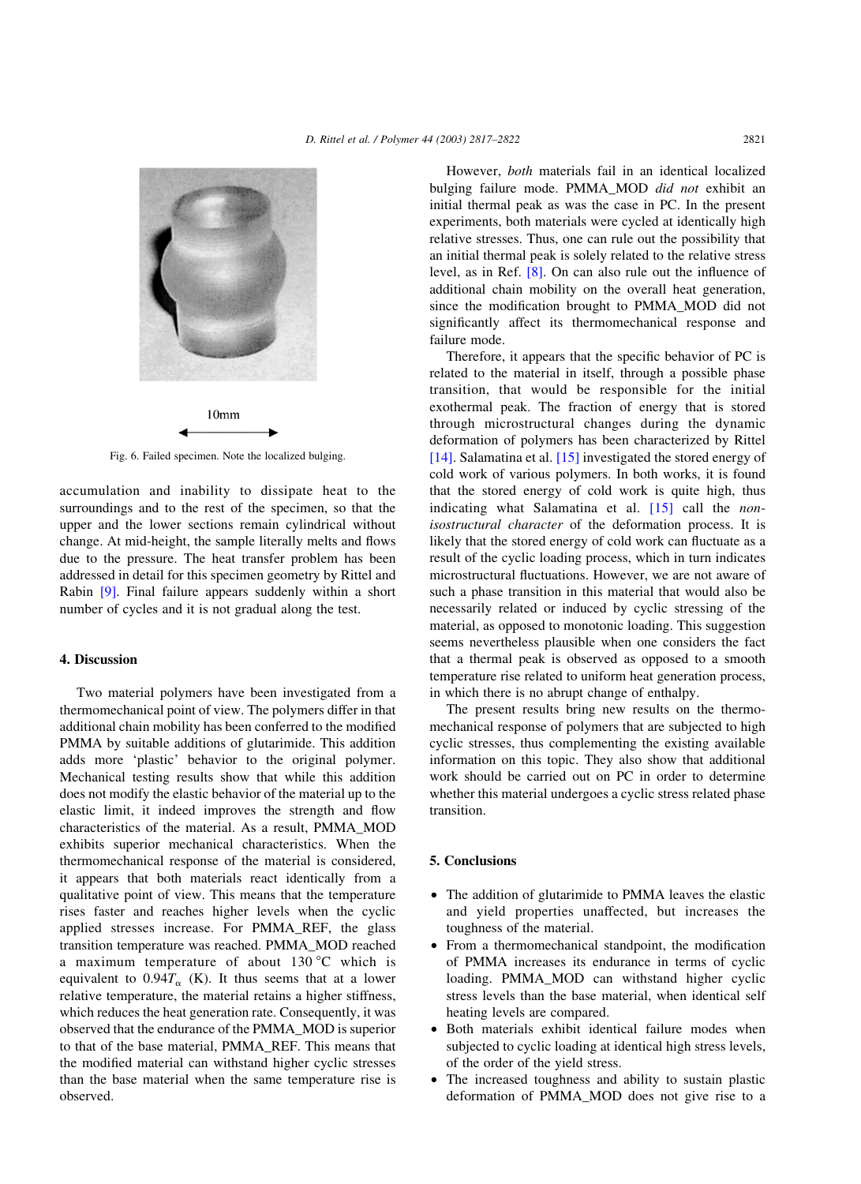<span id="page-4-0"></span>

Fig. 6. Failed specimen. Note the localized bulging.

accumulation and inability to dissipate heat to the surroundings and to the rest of the specimen, so that the upper and the lower sections remain cylindrical without change. At mid-height, the sample literally melts and flows due to the pressure. The heat transfer problem has been addressed in detail for this specimen geometry by Rittel and Rabin [\[9\].](#page-5-0) Final failure appears suddenly within a short number of cycles and it is not gradual along the test.

# 4. Discussion

Two material polymers have been investigated from a thermomechanical point of view. The polymers differ in that additional chain mobility has been conferred to the modified PMMA by suitable additions of glutarimide. This addition adds more 'plastic' behavior to the original polymer. Mechanical testing results show that while this addition does not modify the elastic behavior of the material up to the elastic limit, it indeed improves the strength and flow characteristics of the material. As a result, PMMA\_MOD exhibits superior mechanical characteristics. When the thermomechanical response of the material is considered, it appears that both materials react identically from a qualitative point of view. This means that the temperature rises faster and reaches higher levels when the cyclic applied stresses increase. For PMMA\_REF, the glass transition temperature was reached. PMMA\_MOD reached a maximum temperature of about  $130^{\circ}$ C which is equivalent to  $0.94T_{\alpha}$  (K). It thus seems that at a lower relative temperature, the material retains a higher stiffness, which reduces the heat generation rate. Consequently, it was observed that the endurance of the PMMA\_MOD is superior to that of the base material, PMMA\_REF. This means that the modified material can withstand higher cyclic stresses than the base material when the same temperature rise is observed.

However, both materials fail in an identical localized bulging failure mode. PMMA\_MOD did not exhibit an initial thermal peak as was the case in PC. In the present experiments, both materials were cycled at identically high relative stresses. Thus, one can rule out the possibility that an initial thermal peak is solely related to the relative stress level, as in Ref. [\[8\]](#page-5-0). On can also rule out the influence of additional chain mobility on the overall heat generation, since the modification brought to PMMA\_MOD did not significantly affect its thermomechanical response and failure mode.

Therefore, it appears that the specific behavior of PC is related to the material in itself, through a possible phase transition, that would be responsible for the initial exothermal peak. The fraction of energy that is stored through microstructural changes during the dynamic deformation of polymers has been characterized by Rittel [\[14\]](#page-5-0). Salamatina et al. [\[15\]](#page-5-0) investigated the stored energy of cold work of various polymers. In both works, it is found that the stored energy of cold work is quite high, thus indicating what Salamatina et al.  $[15]$  call the *non*isostructural character of the deformation process. It is likely that the stored energy of cold work can fluctuate as a result of the cyclic loading process, which in turn indicates microstructural fluctuations. However, we are not aware of such a phase transition in this material that would also be necessarily related or induced by cyclic stressing of the material, as opposed to monotonic loading. This suggestion seems nevertheless plausible when one considers the fact that a thermal peak is observed as opposed to a smooth temperature rise related to uniform heat generation process, in which there is no abrupt change of enthalpy.

The present results bring new results on the thermomechanical response of polymers that are subjected to high cyclic stresses, thus complementing the existing available information on this topic. They also show that additional work should be carried out on PC in order to determine whether this material undergoes a cyclic stress related phase transition.

# 5. Conclusions

- The addition of glutarimide to PMMA leaves the elastic and yield properties unaffected, but increases the toughness of the material.
- From a thermomechanical standpoint, the modification of PMMA increases its endurance in terms of cyclic loading. PMMA\_MOD can withstand higher cyclic stress levels than the base material, when identical self heating levels are compared.
- Both materials exhibit identical failure modes when subjected to cyclic loading at identical high stress levels, of the order of the yield stress.
- The increased toughness and ability to sustain plastic deformation of PMMA\_MOD does not give rise to a